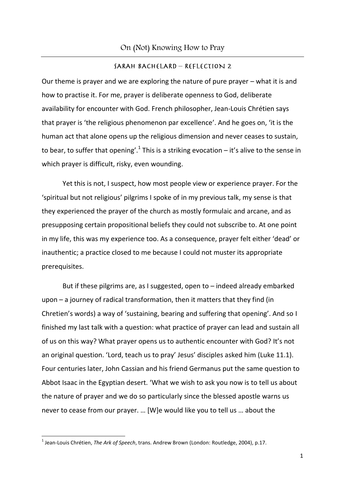#### SARAH BACHELARD - REFLECTION 2

Our theme is prayer and we are exploring the nature of pure prayer – what it is and how to practise it. For me, prayer is deliberate openness to God, deliberate availability for encounter with God. French philosopher, Jean-Louis Chrétien says that prayer is 'the religious phenomenon par excellence'. And he goes on, 'it is the human act that alone opens up the religious dimension and never ceases to sustain, to bear, to suffer that opening'.<sup>1</sup> This is a striking evocation – it's alive to the sense in which prayer is difficult, risky, even wounding.

Yet this is not, I suspect, how most people view or experience prayer. For the 'spiritual but not religious' pilgrims I spoke of in my previous talk, my sense is that they experienced the prayer of the church as mostly formulaic and arcane, and as presupposing certain propositional beliefs they could not subscribe to. At one point in my life, this was my experience too. As a consequence, prayer felt either 'dead' or inauthentic; a practice closed to me because I could not muster its appropriate prerequisites.

But if these pilgrims are, as I suggested, open to – indeed already embarked upon – a journey of radical transformation, then it matters that they find (in Chretien's words) a way of 'sustaining, bearing and suffering that opening'. And so I finished my last talk with a question: what practice of prayer can lead and sustain all of us on this way? What prayer opens us to authentic encounter with God? It's not an original question. 'Lord, teach us to pray' Jesus' disciples asked him (Luke 11.1). Four centuries later, John Cassian and his friend Germanus put the same question to Abbot Isaac in the Egyptian desert. 'What we wish to ask you now is to tell us about the nature of prayer and we do so particularly since the blessed apostle warns us never to cease from our prayer. … [W]e would like you to tell us … about the

<sup>1</sup> Jean-Louis Chrétien, *The Ark of Speech*, trans. Andrew Brown (London: Routledge, 2004), p.17.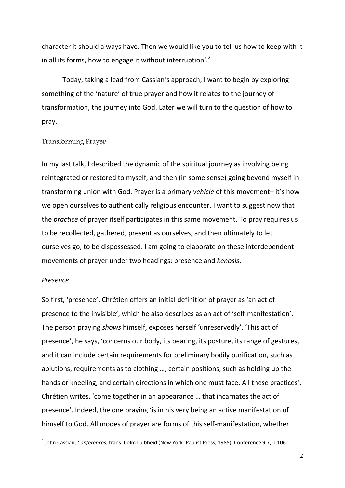character it should always have. Then we would like you to tell us how to keep with it in all its forms, how to engage it without interruption'. $^{2}$ 

Today, taking a lead from Cassian's approach, I want to begin by exploring something of the 'nature' of true prayer and how it relates to the journey of transformation, the journey into God. Later we will turn to the question of how to pray.

### Transforming Prayer

In my last talk, I described the dynamic of the spiritual journey as involving being reintegrated or restored to myself, and then (in some sense) going beyond myself in transforming union with God. Prayer is a primary *vehicle* of this movement– it's how we open ourselves to authentically religious encounter. I want to suggest now that the *practice* of prayer itself participates in this same movement. To pray requires us to be recollected, gathered, present as ourselves, and then ultimately to let ourselves go, to be dispossessed. I am going to elaborate on these interdependent movements of prayer under two headings: presence and *kenosis*.

#### *Presence*

So first, 'presence'. Chrétien offers an initial definition of prayer as 'an act of presence to the invisible', which he also describes as an act of 'self-manifestation'. The person praying *shows* himself, exposes herself 'unreservedly'. 'This act of presence', he says, 'concerns our body, its bearing, its posture, its range of gestures, and it can include certain requirements for preliminary bodily purification, such as ablutions, requirements as to clothing …, certain positions, such as holding up the hands or kneeling, and certain directions in which one must face. All these practices', Chrétien writes, 'come together in an appearance … that incarnates the act of presence'. Indeed, the one praying 'is in his very being an active manifestation of himself to God. All modes of prayer are forms of this self-manifestation, whether

 2 John Cassian, *Conferences*, trans. Colm Luibheid (New York: Paulist Press, 1985), Conference 9.7, p.106.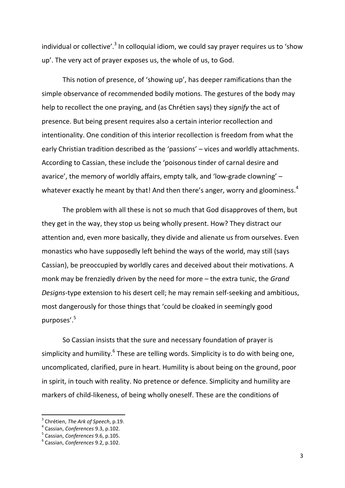individual or collective'.<sup>3</sup> In colloquial idiom, we could say prayer requires us to 'show up'. The very act of prayer exposes us, the whole of us, to God.

This notion of presence, of 'showing up', has deeper ramifications than the simple observance of recommended bodily motions. The gestures of the body may help to recollect the one praying, and (as Chrétien says) they *signify* the act of presence. But being present requires also a certain interior recollection and intentionality. One condition of this interior recollection is freedom from what the early Christian tradition described as the 'passions' – vices and worldly attachments. According to Cassian, these include the 'poisonous tinder of carnal desire and avarice', the memory of worldly affairs, empty talk, and 'low-grade clowning' – whatever exactly he meant by that! And then there's anger, worry and gloominess.<sup>4</sup>

The problem with all these is not so much that God disapproves of them, but they get in the way, they stop us being wholly present. How? They distract our attention and, even more basically, they divide and alienate us from ourselves. Even monastics who have supposedly left behind the ways of the world, may still (says Cassian), be preoccupied by worldly cares and deceived about their motivations. A monk may be frenziedly driven by the need for more – the extra tunic, the *Grand Designs*-type extension to his desert cell; he may remain self-seeking and ambitious, most dangerously for those things that 'could be cloaked in seemingly good purposes'.<sup>5</sup>

So Cassian insists that the sure and necessary foundation of prayer is simplicity and humility.<sup>6</sup> These are telling words. Simplicity is to do with being one, uncomplicated, clarified, pure in heart. Humility is about being on the ground, poor in spirit, in touch with reality. No pretence or defence. Simplicity and humility are markers of child-likeness, of being wholly oneself. These are the conditions of

<sup>3</sup> Chrétien, *The Ark of Speech*, p.19.

<sup>4</sup> Cassian, *Conferences* 9.3, p.102.

<sup>5</sup> Cassian, *Conferences* 9.6, p.105.

<sup>6</sup> Cassian, *Conferences* 9.2, p.102.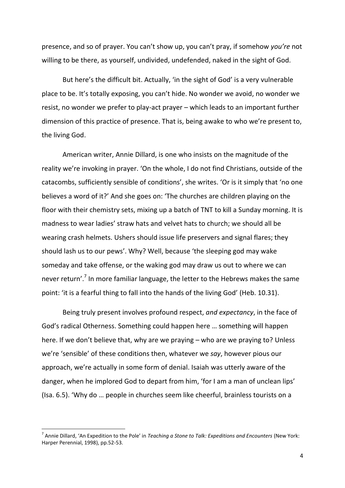presence, and so of prayer. You can't show up, you can't pray, if somehow *you're* not willing to be there, as yourself, undivided, undefended, naked in the sight of God.

But here's the difficult bit. Actually, 'in the sight of God' is a very vulnerable place to be. It's totally exposing, you can't hide. No wonder we avoid, no wonder we resist, no wonder we prefer to play-act prayer – which leads to an important further dimension of this practice of presence. That is, being awake to who we're present to, the living God.

American writer, Annie Dillard, is one who insists on the magnitude of the reality we're invoking in prayer. 'On the whole, I do not find Christians, outside of the catacombs, sufficiently sensible of conditions', she writes. 'Or is it simply that 'no one believes a word of it?' And she goes on: 'The churches are children playing on the floor with their chemistry sets, mixing up a batch of TNT to kill a Sunday morning. It is madness to wear ladies' straw hats and velvet hats to church; we should all be wearing crash helmets. Ushers should issue life preservers and signal flares; they should lash us to our pews'. Why? Well, because 'the sleeping god may wake someday and take offense, or the waking god may draw us out to where we can never return'.<sup>7</sup> In more familiar language, the letter to the Hebrews makes the same point: 'it is a fearful thing to fall into the hands of the living God' (Heb. 10.31).

Being truly present involves profound respect, *and expectancy*, in the face of God's radical Otherness. Something could happen here … something will happen here. If we don't believe that, why are we praying – who are we praying to? Unless we're 'sensible' of these conditions then, whatever we *say*, however pious our approach, we're actually in some form of denial. Isaiah was utterly aware of the danger, when he implored God to depart from him, 'for I am a man of unclean lips' (Isa. 6.5). 'Why do … people in churches seem like cheerful, brainless tourists on a

<sup>7</sup> Annie Dillard, 'An Expedition to the Pole' in *Teaching a Stone to Talk: Expeditions and Encounters* (New York: Harper Perennial, 1998), pp.52-53.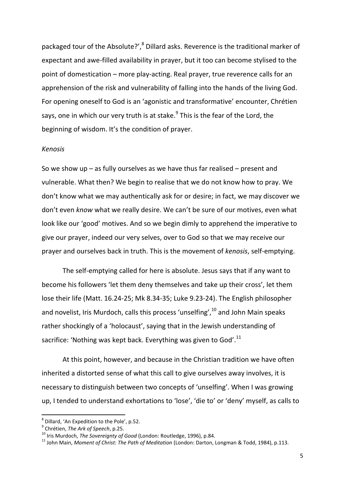packaged tour of the Absolute?',<sup>8</sup> Dillard asks. Reverence is the traditional marker of expectant and awe-filled availability in prayer, but it too can become stylised to the point of domestication – more play-acting. Real prayer, true reverence calls for an apprehension of the risk and vulnerability of falling into the hands of the living God. For opening oneself to God is an 'agonistic and transformative' encounter, Chrétien says, one in which our very truth is at stake.<sup>9</sup> This is the fear of the Lord, the beginning of wisdom. It's the condition of prayer.

#### *Kenosis*

So we show up – as fully ourselves as we have thus far realised – present and vulnerable. What then? We begin to realise that we do not know how to pray. We don't know what we may authentically ask for or desire; in fact, we may discover we don't even *know* what we really desire. We can't be sure of our motives, even what look like our 'good' motives. And so we begin dimly to apprehend the imperative to give our prayer, indeed our very selves, over to God so that we may receive our prayer and ourselves back in truth. This is the movement of *kenosis*, self-emptying.

The self-emptying called for here is absolute. Jesus says that if any want to become his followers 'let them deny themselves and take up their cross', let them lose their life (Matt. 16.24-25; Mk 8.34-35; Luke 9.23-24). The English philosopher and novelist, Iris Murdoch, calls this process 'unselfing',  $10$  and John Main speaks rather shockingly of a 'holocaust', saying that in the Jewish understanding of sacrifice: 'Nothing was kept back. Everything was given to God'. $^{11}$ 

At this point, however, and because in the Christian tradition we have often inherited a distorted sense of what this call to give ourselves away involves, it is necessary to distinguish between two concepts of 'unselfing'. When I was growing up, I tended to understand exhortations to 'lose', 'die to' or 'deny' myself, as calls to

<sup>8</sup> Dillard, 'An Expedition to the Pole', p.52.

<sup>9</sup> Chrétien, *The Ark of Speech*, p.25.

<sup>10</sup> Iris Murdoch, *The Sovereignty of Good* (London: Routledge, 1996), p.84.

<sup>11</sup> John Main, *Moment of Christ: The Path of Meditation* (London: Darton, Longman & Todd, 1984), p.113.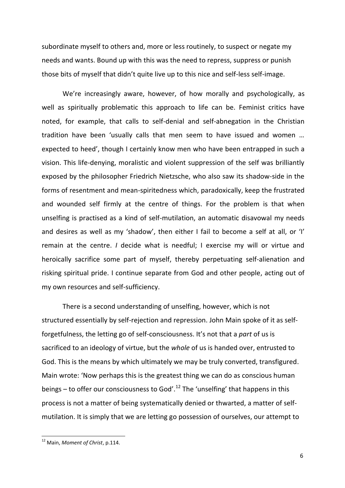subordinate myself to others and, more or less routinely, to suspect or negate my needs and wants. Bound up with this was the need to repress, suppress or punish those bits of myself that didn't quite live up to this nice and self-less self-image.

We're increasingly aware, however, of how morally and psychologically, as well as spiritually problematic this approach to life can be. Feminist critics have noted, for example, that calls to self-denial and self-abnegation in the Christian tradition have been 'usually calls that men seem to have issued and women … expected to heed', though I certainly know men who have been entrapped in such a vision. This life-denying, moralistic and violent suppression of the self was brilliantly exposed by the philosopher Friedrich Nietzsche, who also saw its shadow-side in the forms of resentment and mean-spiritedness which, paradoxically, keep the frustrated and wounded self firmly at the centre of things. For the problem is that when unselfing is practised as a kind of self-mutilation, an automatic disavowal my needs and desires as well as my 'shadow', then either I fail to become a self at all, or 'I' remain at the centre. *I* decide what is needful; I exercise my will or virtue and heroically sacrifice some part of myself, thereby perpetuating self-alienation and risking spiritual pride. I continue separate from God and other people, acting out of my own resources and self-sufficiency.

There is a second understanding of unselfing, however, which is not structured essentially by self-rejection and repression. John Main spoke of it as selfforgetfulness, the letting go of self-consciousness. It's not that a *part* of us is sacrificed to an ideology of virtue, but the *whole* of us is handed over, entrusted to God. This is the means by which ultimately we may be truly converted, transfigured. Main wrote: 'Now perhaps this is the greatest thing we can do as conscious human beings – to offer our consciousness to God'.<sup>12</sup> The 'unselfing' that happens in this process is not a matter of being systematically denied or thwarted, a matter of selfmutilation. It is simply that we are letting go possession of ourselves, our attempt to

<sup>12</sup> Main, *Moment of Christ*, p.114.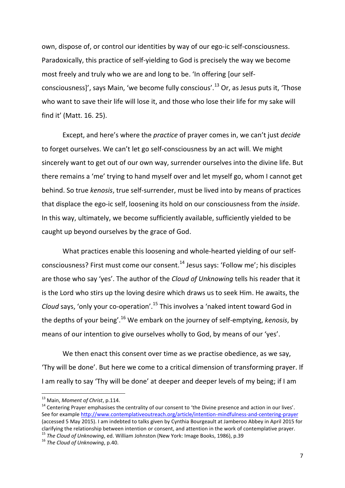own, dispose of, or control our identities by way of our ego-ic self-consciousness. Paradoxically, this practice of self-yielding to God is precisely the way we become most freely and truly who we are and long to be. 'In offering [our selfconsciousness]', says Main, 'we become fully conscious'.<sup>13</sup> Or, as Jesus puts it, 'Those who want to save their life will lose it, and those who lose their life for my sake will find it' (Matt. 16. 25).

Except, and here's where the *practice* of prayer comes in, we can't just *decide* to forget ourselves. We can't let go self-consciousness by an act will. We might sincerely want to get out of our own way, surrender ourselves into the divine life. But there remains a 'me' trying to hand myself over and let myself go, whom I cannot get behind. So true *kenosis*, true self-surrender, must be lived into by means of practices that displace the ego-ic self, loosening its hold on our consciousness from the *inside*. In this way, ultimately, we become sufficiently available, sufficiently yielded to be caught up beyond ourselves by the grace of God.

What practices enable this loosening and whole-hearted yielding of our selfconsciousness? First must come our consent.<sup>14</sup> Jesus says: 'Follow me'; his disciples are those who say 'yes'. The author of the *Cloud of Unknowing* tells his reader that it is the Lord who stirs up the loving desire which draws us to seek Him. He awaits, the *Cloud* says, 'only your co-operation'.<sup>15</sup> This involves a 'naked intent toward God in the depths of your being'.<sup>16</sup> We embark on the journey of self-emptying, *kenosis*, by means of our intention to give ourselves wholly to God, by means of our 'yes'.

We then enact this consent over time as we practise obedience, as we say, 'Thy will be done'. But here we come to a critical dimension of transforming prayer. If I am really to say 'Thy will be done' at deeper and deeper levels of my being; if I am

 $\overline{a}$ 

<sup>13</sup> Main, *Moment of Christ*, p.114.

<sup>&</sup>lt;sup>14</sup> Centering Prayer emphasises the centrality of our consent to 'the Divine presence and action in our lives'. See for example<http://www.contemplativeoutreach.org/article/intention-mindfulness-and-centering-prayer> (accessed 5 May 2015). I am indebted to talks given by Cynthia Bourgeault at Jamberoo Abbey in April 2015 for clarifying the relationship between intention or consent, and attention in the work of contemplative prayer.

<sup>15</sup> *The Cloud of Unknowing*, ed. William Johnston (New York: Image Books, 1986), p.39

<sup>16</sup> *The Cloud of Unknowing*, p.40.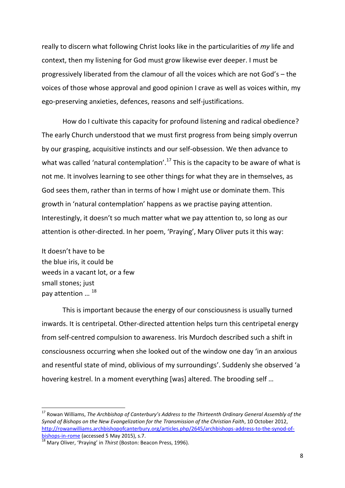really to discern what following Christ looks like in the particularities of *my* life and context, then my listening for God must grow likewise ever deeper. I must be progressively liberated from the clamour of all the voices which are not God's – the voices of those whose approval and good opinion I crave as well as voices within, my ego-preserving anxieties, defences, reasons and self-justifications.

How do I cultivate this capacity for profound listening and radical obedience? The early Church understood that we must first progress from being simply overrun by our grasping, acquisitive instincts and our self-obsession. We then advance to what was called 'natural contemplation'.<sup>17</sup> This is the capacity to be aware of what is not me. It involves learning to see other things for what they are in themselves, as God sees them, rather than in terms of how I might use or dominate them. This growth in 'natural contemplation' happens as we practise paying attention. Interestingly, it doesn't so much matter what we pay attention to, so long as our attention is other-directed. In her poem, 'Praying', Mary Oliver puts it this way:

It doesn't have to be the blue iris, it could be weeds in a vacant lot, or a few small stones; just pay attention … 18

 $\overline{a}$ 

This is important because the energy of our consciousness is usually turned inwards. It is centripetal. Other-directed attention helps turn this centripetal energy from self-centred compulsion to awareness. Iris Murdoch described such a shift in consciousness occurring when she looked out of the window one day 'in an anxious and resentful state of mind, oblivious of my surroundings'. Suddenly she observed 'a hovering kestrel. In a moment everything [was] altered. The brooding self …

<sup>17</sup> Rowan Williams, *The Archbishop of Canterbury's Address to the Thirteenth Ordinary General Assembly of the Synod of Bishops on the New Evangelization for the Transmission of the Christian Faith*, 10 October 2012, [http://rowanwilliams.archbishopofcanterbury.org/articles.php/2645/archbishops-address-to-the-synod-of](http://rowanwilliams.archbishopofcanterbury.org/articles.php/2645/archbishops-address-to-the-synod-of-bishops-in-rome)[bishops-in-rome](http://rowanwilliams.archbishopofcanterbury.org/articles.php/2645/archbishops-address-to-the-synod-of-bishops-in-rome) (accessed 5 May 2015), s.7.

<sup>18</sup> Mary Oliver, 'Praying' in *Thirst* (Boston: Beacon Press, 1996).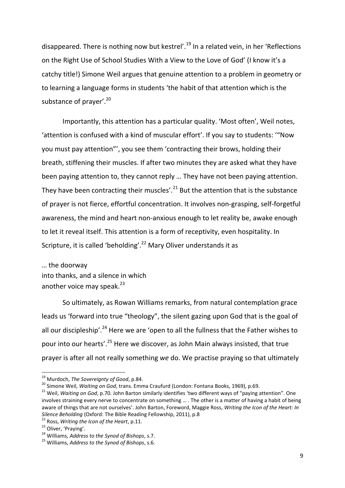disappeared. There is nothing now but kestrel'.<sup>19</sup> In a related vein, in her 'Reflections on the Right Use of School Studies With a View to the Love of God' (I know it's a catchy title!) Simone Weil argues that genuine attention to a problem in geometry or to learning a language forms in students 'the habit of that attention which is the substance of prayer'.<sup>20</sup>

Importantly, this attention has a particular quality. 'Most often', Weil notes, 'attention is confused with a kind of muscular effort'. If you say to students: '"Now you must pay attention"', you see them 'contracting their brows, holding their breath, stiffening their muscles. If after two minutes they are asked what they have been paying attention to, they cannot reply … They have not been paying attention. They have been contracting their muscles'. $^{21}$  But the attention that is the substance of prayer is not fierce, effortful concentration. It involves non-grasping, self-forgetful awareness, the mind and heart non-anxious enough to let reality be, awake enough to let it reveal itself. This attention is a form of receptivity, even hospitality. In Scripture, it is called 'beholding'.<sup>22</sup> Mary Oliver understands it as

… the doorway into thanks, and a silence in which another voice may speak. $^{23}$ 

So ultimately, as Rowan Williams remarks, from natural contemplation grace leads us 'forward into true "theology", the silent gazing upon God that is the goal of all our discipleship'.<sup>24</sup> Here we are 'open to all the fullness that the Father wishes to pour into our hearts'.<sup>25</sup> Here we discover, as John Main always insisted, that true prayer is after all not really something *we* do. We practise praying so that ultimately

<sup>19</sup> Murdoch, *The Sovereignty of Good*, p.84.

<sup>20</sup> Simone Weil, *Waiting on God*, trans. Emma Craufurd (London: Fontana Books, 1969), p.69.

<sup>&</sup>lt;sup>21</sup> Weil, *Waiting on God*, p.70. John Barton similarly identifies 'two different ways of "paying attention". One involves straining every nerve to concentrate on something … . The other is a matter of having a habit of being aware of things that are not ourselves'. John Barton, Foreword, Maggie Ross, *Writing the Icon of the Heart: In Silence Beholding* (Oxford: The Bible Reading Fellowship, 2011), p.8

<sup>22</sup> Ross, *Writing the Icon of the Heart*, p.11.

<sup>&</sup>lt;sup>23</sup> Oliver, 'Praying'.

<sup>24</sup> Williams, *Address to the Synod of Bishops*, s.7.

<sup>25</sup> Williams, *Address to the Synod of Bishops*, s.6.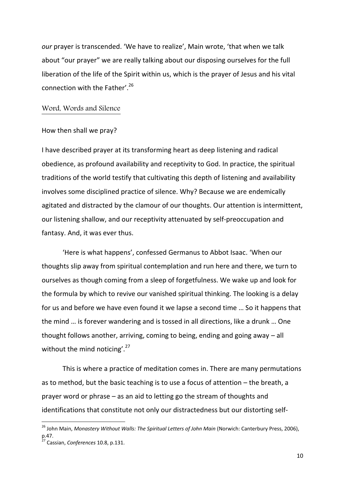*our* prayer is transcended. 'We have to realize', Main wrote, 'that when we talk about "our prayer" we are really talking about our disposing ourselves for the full liberation of the life of the Spirit within us, which is the prayer of Jesus and his vital connection with the Father'.<sup>26</sup>

## Word, Words and Silence

#### How then shall we pray?

I have described prayer at its transforming heart as deep listening and radical obedience, as profound availability and receptivity to God. In practice, the spiritual traditions of the world testify that cultivating this depth of listening and availability involves some disciplined practice of silence. Why? Because we are endemically agitated and distracted by the clamour of our thoughts. Our attention is intermittent, our listening shallow, and our receptivity attenuated by self-preoccupation and fantasy. And, it was ever thus.

'Here is what happens', confessed Germanus to Abbot Isaac. 'When our thoughts slip away from spiritual contemplation and run here and there, we turn to ourselves as though coming from a sleep of forgetfulness. We wake up and look for the formula by which to revive our vanished spiritual thinking. The looking is a delay for us and before we have even found it we lapse a second time … So it happens that the mind … is forever wandering and is tossed in all directions, like a drunk … One thought follows another, arriving, coming to being, ending and going away – all without the mind noticing'.<sup>27</sup>

This is where a practice of meditation comes in. There are many permutations as to method, but the basic teaching is to use a focus of attention – the breath, a prayer word or phrase – as an aid to letting go the stream of thoughts and identifications that constitute not only our distractedness but our distorting self-

<sup>26</sup> John Main, *Monastery Without Walls: The Spiritual Letters of John Main* (Norwich: Canterbury Press, 2006), p.47.

<sup>27</sup> Cassian, *Conferences* 10.8, p.131.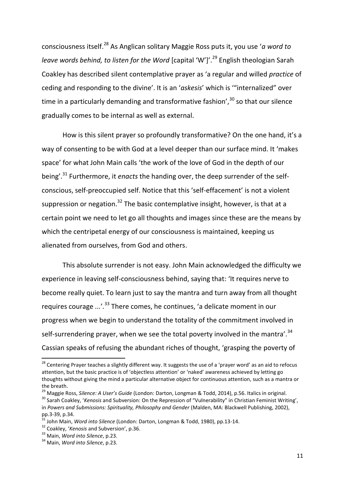consciousness itself. <sup>28</sup> As Anglican solitary Maggie Ross puts it, you use '*a word to leave words behind, to listen for the Word* [capital 'W']'.<sup>29</sup> English theologian Sarah Coakley has described silent contemplative prayer as 'a regular and willed *practice* of ceding and responding to the divine'. It is an '*askesis*' which is '"internalized" over time in a particularly demanding and transformative fashion',  $30$  so that our silence gradually comes to be internal as well as external.

How is this silent prayer so profoundly transformative? On the one hand, it's a way of consenting to be with God at a level deeper than our surface mind. It 'makes space' for what John Main calls 'the work of the love of God in the depth of our being'.<sup>31</sup> Furthermore, it *enacts* the handing over, the deep surrender of the selfconscious, self-preoccupied self. Notice that this 'self-effacement' is not a violent suppression or negation.<sup>32</sup> The basic contemplative insight, however, is that at a certain point we need to let go all thoughts and images since these are the means by which the centripetal energy of our consciousness is maintained, keeping us alienated from ourselves, from God and others.

This absolute surrender is not easy. John Main acknowledged the difficulty we experience in leaving self-consciousness behind, saying that: 'It requires nerve to become really quiet. To learn just to say the mantra and turn away from all thought requires courage *...*'*.* <sup>33</sup> There comes, he continues, 'a delicate moment in our progress when we begin to understand the totality of the commitment involved in self-surrendering prayer, when we see the total poverty involved in the mantra'.<sup>34</sup> Cassian speaks of refusing the abundant riches of thought, 'grasping the poverty of

 $\overline{a}$ 

<sup>&</sup>lt;sup>28</sup> Centering Prayer teaches a slightly different way. It suggests the use of a 'prayer word' as an aid to refocus attention, but the basic practice is of 'objectless attention' or 'naked' awareness achieved by letting go thoughts without giving the mind a particular alternative object for continuous attention, such as a mantra or the breath.

<sup>29</sup> Maggie Ross, *Silence: A User's Guide* (London: Darton, Longman & Todd, 2014), p.56. Italics in original.

<sup>&</sup>lt;sup>30</sup> Sarah Coakley, '*Kenosis* and Subversion: On the Repression of "Vulnerability" in Christian Feminist Writing', in *Powers and Submissions: Spirituality, Philosophy and Gender* (Malden, MA: Blackwell Publishing, 2002), pp.3-39, p.34.

<sup>31</sup> John Main, *Word into Silence* (London: Darton, Longman & Todd, 1980), pp.13-14.

<sup>32</sup> Coakley, '*Kenosis* and Subversion', p.36.

<sup>33</sup> Main, *Word into Silence*, p.23.

<sup>34</sup> Main, *Word into Silence*, p.23.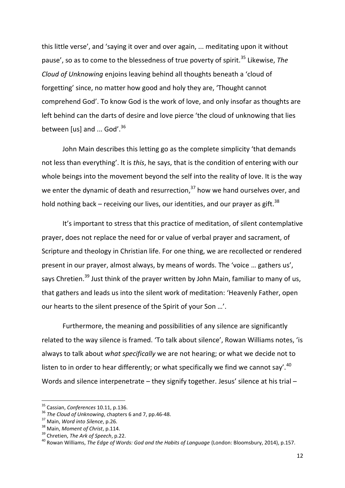this little verse', and 'saying it over and over again, ... meditating upon it without pause', so as to come to the blessedness of true poverty of spirit.<sup>35</sup> Likewise, *The Cloud of Unknowing* enjoins leaving behind all thoughts beneath a 'cloud of forgetting' since, no matter how good and holy they are, 'Thought cannot comprehend God'. To know God is the work of love, and only insofar as thoughts are left behind can the darts of desire and love pierce 'the cloud of unknowing that lies between [us] and ... God'. $36$ 

John Main describes this letting go as the complete simplicity 'that demands not less than everything'. It is *this*, he says, that is the condition of entering with our whole beings into the movement beyond the self into the reality of love. It is the way we enter the dynamic of death and resurrection,<sup>37</sup> how we hand ourselves over, and hold nothing back – receiving our lives, our identities, and our prayer as gift.<sup>38</sup>

It's important to stress that this practice of meditation, of silent contemplative prayer, does not replace the need for or value of verbal prayer and sacrament, of Scripture and theology in Christian life. For one thing, we are recollected or rendered present in our prayer, almost always, by means of words. The 'voice … gathers us', says Chretien.<sup>39</sup> Just think of the prayer written by John Main, familiar to many of us, that gathers and leads us into the silent work of meditation: 'Heavenly Father, open our hearts to the silent presence of the Spirit of your Son …'.

Furthermore, the meaning and possibilities of any silence are significantly related to the way silence is framed. 'To talk about silence', Rowan Williams notes, 'is always to talk about *what specifically* we are not hearing; or what we decide not to listen to in order to hear differently; or what specifically we find we cannot say'.<sup>40</sup> Words and silence interpenetrate – they signify together. Jesus' silence at his trial –

<sup>35</sup> Cassian, *Conferences* 10.11, p.136.

<sup>36</sup> *The Cloud of Unknowing*, chapters 6 and 7, pp.46-48.

<sup>37</sup> Main, *Word into Silence*, p.26.

<sup>38</sup> Main, *Moment of Christ*, p.114.

<sup>39</sup> Chretien, *The Ark of Speech*, p.22.

<sup>40</sup> Rowan Williams, *The Edge of Words: God and the Habits of Language* (London: Bloomsbury, 2014), p.157.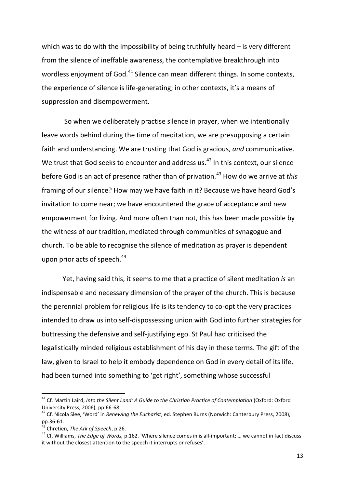which was to do with the impossibility of being truthfully heard – is very different from the silence of ineffable awareness, the contemplative breakthrough into wordless enjoyment of God.<sup>41</sup> Silence can mean different things. In some contexts, the experience of silence is life-generating; in other contexts, it's a means of suppression and disempowerment.

So when we deliberately practise silence in prayer, when we intentionally leave words behind during the time of meditation, we are presupposing a certain faith and understanding. We are trusting that God is gracious, *and* communicative. We trust that God seeks to encounter and address us. $42$  In this context, our silence before God is an act of presence rather than of privation.<sup>43</sup> How do we arrive at *this* framing of our silence? How may we have faith in it? Because we have heard God's invitation to come near; we have encountered the grace of acceptance and new empowerment for living. And more often than not, this has been made possible by the witness of our tradition, mediated through communities of synagogue and church. To be able to recognise the silence of meditation as prayer is dependent upon prior acts of speech.<sup>44</sup>

Yet, having said this, it seems to me that a practice of silent meditation *is* an indispensable and necessary dimension of the prayer of the church. This is because the perennial problem for religious life is its tendency to co-opt the very practices intended to draw us into self-dispossessing union with God into further strategies for buttressing the defensive and self-justifying ego. St Paul had criticised the legalistically minded religious establishment of his day in these terms. The gift of the law, given to Israel to help it embody dependence on God in every detail of its life, had been turned into something to 'get right', something whose successful

 $\overline{a}$ 

<sup>&</sup>lt;sup>41</sup> Cf. Martin Laird, *Into the Silent Land: A Guide to the Christian Practice of Contemplation* (Oxford: Oxford University Press, 2006), pp.66-68.

<sup>42</sup> Cf. Nicola Slee, 'Word' in *Renewing the Eucharist*, ed. Stephen Burns (Norwich: Canterbury Press, 2008), pp.36-61.

<sup>43</sup> Chretien, *The Ark of Speech*, p.26.

<sup>44</sup> Cf. Williams, *The Edge of Words,* p.162. 'Where silence comes in is all-important; … we cannot in fact discuss it without the closest attention to the speech it interrupts or refuses'.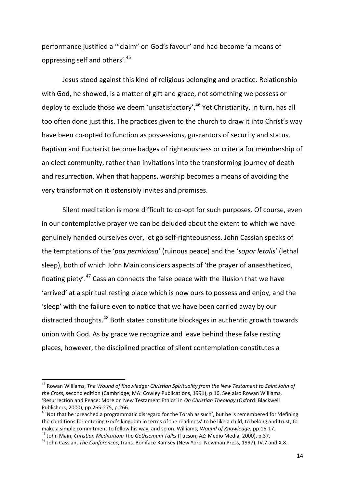performance justified a '"claim" on God's favour' and had become 'a means of oppressing self and others'.<sup>45</sup>

Jesus stood against this kind of religious belonging and practice. Relationship with God, he showed, is a matter of gift and grace, not something we possess or deploy to exclude those we deem 'unsatisfactory'.<sup>46</sup> Yet Christianity, in turn, has all too often done just this. The practices given to the church to draw it into Christ's way have been co-opted to function as possessions, guarantors of security and status. Baptism and Eucharist become badges of righteousness or criteria for membership of an elect community, rather than invitations into the transforming journey of death and resurrection. When that happens, worship becomes a means of avoiding the very transformation it ostensibly invites and promises.

Silent meditation is more difficult to co-opt for such purposes. Of course, even in our contemplative prayer we can be deluded about the extent to which we have genuinely handed ourselves over, let go self-righteousness. John Cassian speaks of the temptations of the '*pax perniciosa*' (ruinous peace) and the '*sopor letalis*' (lethal sleep), both of which John Main considers aspects of 'the prayer of anaesthetized, floating piety'. $47$  Cassian connects the false peace with the illusion that we have 'arrived' at a spiritual resting place which is now ours to possess and enjoy, and the 'sleep' with the failure even to notice that we have been carried away by our distracted thoughts.<sup>48</sup> Both states constitute blockages in authentic growth towards union with God. As by grace we recognize and leave behind these false resting places, however, the disciplined practice of silent contemplation constitutes a

<sup>45</sup> Rowan Williams, *The Wound of Knowledge: Christian Spirituality from the New Testament to Saint John of the Cross*, second edition (Cambridge, MA: Cowley Publications, 1991), p.16. See also Rowan Williams, 'Resurrection and Peace: More on New Testament Ethics' in *On Christian Theology* (Oxford: Blackwell Publishers, 2000), pp.265-275, p.266.

 $46$  Not that he 'preached a programmatic disregard for the Torah as such', but he is remembered for 'defining the conditions for entering God's kingdom in terms of the readiness' to be like a child, to belong and trust, to make a simple commitment to follow his way, and so on. Williams, *Wound of Knowledge*, pp.16-17.

<sup>47</sup> John Main, *Christian Meditation: The Gethsemani Talks* (Tucson, AZ: Medio Media, 2000), p.37. <sup>48</sup> John Cassian, *The Conferences*, trans. Boniface Ramsey (New York: Newman Press, 1997), IV.7 and X.8.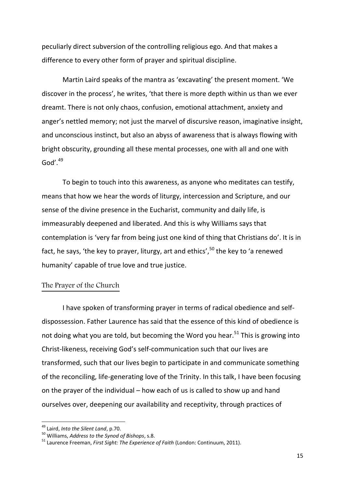peculiarly direct subversion of the controlling religious ego. And that makes a difference to every other form of prayer and spiritual discipline.

Martin Laird speaks of the mantra as 'excavating' the present moment. 'We discover in the process', he writes, 'that there is more depth within us than we ever dreamt. There is not only chaos, confusion, emotional attachment, anxiety and anger's nettled memory; not just the marvel of discursive reason, imaginative insight, and unconscious instinct, but also an abyss of awareness that is always flowing with bright obscurity, grounding all these mental processes, one with all and one with God' $^{49}$ 

To begin to touch into this awareness, as anyone who meditates can testify, means that how we hear the words of liturgy, intercession and Scripture, and our sense of the divine presence in the Eucharist, community and daily life, is immeasurably deepened and liberated. And this is why Williams says that contemplation is 'very far from being just one kind of thing that Christians do'. It is in fact, he says, 'the key to prayer, liturgy, art and ethics',<sup>50</sup> the key to 'a renewed humanity' capable of true love and true justice.

# The Prayer of the Church

I have spoken of transforming prayer in terms of radical obedience and selfdispossession. Father Laurence has said that the essence of this kind of obedience is not doing what you are told, but becoming the Word you hear.<sup>51</sup> This is growing into Christ-likeness, receiving God's self-communication such that our lives are transformed, such that our lives begin to participate in and communicate something of the reconciling, life-generating love of the Trinity. In this talk, I have been focusing on the prayer of the individual – how each of us is called to show up and hand ourselves over, deepening our availability and receptivity, through practices of

<sup>49</sup> Laird, *Into the Silent Land*, p.70.

<sup>50</sup> Williams, *Address to the Synod of Bishops*, s.8.

<sup>51</sup> Laurence Freeman, *First Sight: The Experience of Faith* (London: Continuum, 2011).